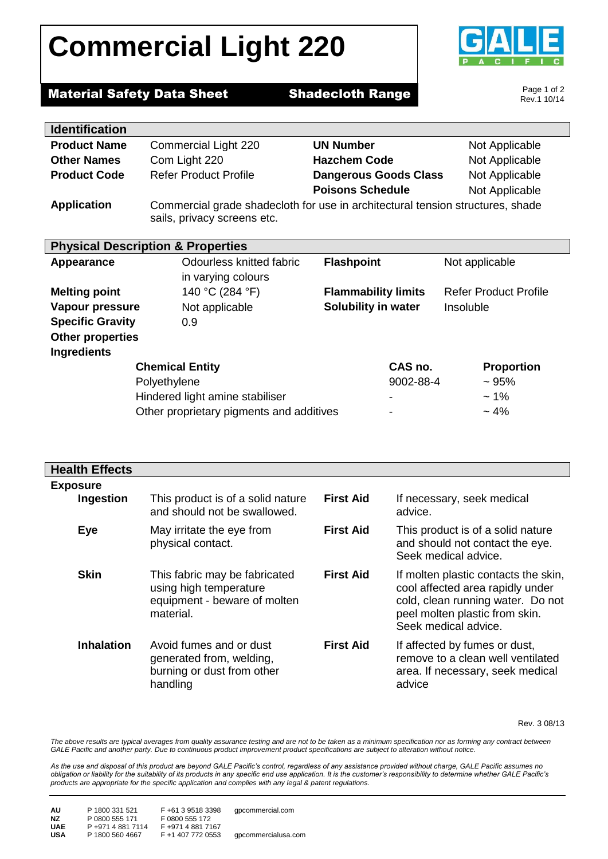# **Commercial Light 220**



### **Material Safety Data Sheet Shadecloth Range**

Page 1 of 2 Rev.1 10/14

| <b>Identification</b>                        |                                                                                |                              |                              |  |  |
|----------------------------------------------|--------------------------------------------------------------------------------|------------------------------|------------------------------|--|--|
| <b>Product Name</b>                          | Commercial Light 220                                                           | <b>UN Number</b>             | Not Applicable               |  |  |
| <b>Other Names</b>                           | Com Light 220                                                                  | <b>Hazchem Code</b>          | Not Applicable               |  |  |
| <b>Product Code</b>                          | <b>Refer Product Profile</b>                                                   | <b>Dangerous Goods Class</b> | Not Applicable               |  |  |
|                                              |                                                                                | <b>Poisons Schedule</b>      | Not Applicable               |  |  |
| <b>Application</b>                           | Commercial grade shadecloth for use in architectural tension structures, shade |                              |                              |  |  |
|                                              | sails, privacy screens etc.                                                    |                              |                              |  |  |
|                                              |                                                                                |                              |                              |  |  |
| <b>Physical Description &amp; Properties</b> |                                                                                |                              |                              |  |  |
| Appearance                                   | Odourless knitted fabric                                                       | <b>Flashpoint</b>            | Not applicable               |  |  |
|                                              | in varying colours                                                             |                              |                              |  |  |
| <b>Melting point</b>                         | 140 °C (284 °F)                                                                | <b>Flammability limits</b>   | <b>Refer Product Profile</b> |  |  |
| Vapour pressure                              | Not applicable                                                                 | Solubility in water          | Insoluble                    |  |  |
| <b>Specific Gravity</b>                      | 0.9                                                                            |                              |                              |  |  |
| <b>Other properties</b>                      |                                                                                |                              |                              |  |  |
| <b>Ingredients</b>                           |                                                                                |                              |                              |  |  |
| <b>Chemical Entity</b>                       |                                                                                | CAS no.                      | <b>Proportion</b>            |  |  |
| Polyethylene                                 |                                                                                | 9002-88-4                    | ~1.95%                       |  |  |
| Hindered light amine stabiliser              |                                                                                | -                            | $~1\%$                       |  |  |
| Other proprietary pigments and additives     |                                                                                |                              | ~10                          |  |  |

| <b>Health Effects</b>        |                                                                                                      |                  |                                                                                                                                                                         |
|------------------------------|------------------------------------------------------------------------------------------------------|------------------|-------------------------------------------------------------------------------------------------------------------------------------------------------------------------|
| <b>Exposure</b><br>Ingestion | This product is of a solid nature<br>and should not be swallowed.                                    | <b>First Aid</b> | If necessary, seek medical<br>advice.                                                                                                                                   |
| Eye                          | May irritate the eye from<br>physical contact.                                                       | <b>First Aid</b> | This product is of a solid nature<br>and should not contact the eye.<br>Seek medical advice.                                                                            |
| <b>Skin</b>                  | This fabric may be fabricated<br>using high temperature<br>equipment - beware of molten<br>material. | <b>First Aid</b> | If molten plastic contacts the skin,<br>cool affected area rapidly under<br>cold, clean running water. Do not<br>peel molten plastic from skin.<br>Seek medical advice. |
| <b>Inhalation</b>            | Avoid fumes and or dust<br>generated from, welding,<br>burning or dust from other<br>handling        | <b>First Aid</b> | If affected by fumes or dust,<br>remove to a clean well ventilated<br>area. If necessary, seek medical<br>advice                                                        |

Rev. 3 08/13

The above results are typical averages from quality assurance testing and are not to be taken as a minimum specification nor as forming any contract between *GALE Pacific and another party. Due to continuous product improvement product specifications are subject to alteration without notice.*

*As the use and disposal of this product are beyond GALE Pacific's control, regardless of any assistance provided without charge, GALE Pacific assumes no obligation or liability for the suitability of its products in any specific end use application. It is the customer's responsibility to determine whether GALE Pacific's products are appropriate for the specific application and complies with any legal & patent regulations.*